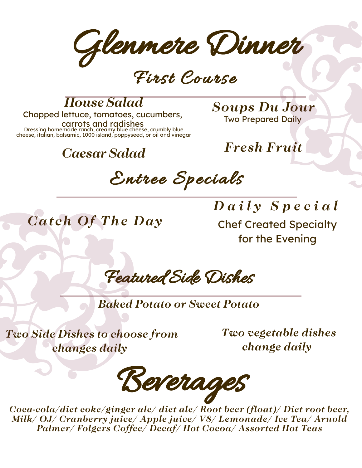Glenmere Dinner

First Course

#### *House Salad*

Chopped lettuce, tomatoes, cucumbers, carrots and radishes

Dressing homemade ranch, creamy blue cheese, crumbly blue cheese, italian, balsamic, 1000 island, poppyseed, or oil and vinegar

#### *Caesar Salad*

*Soups Du Jour* Two Prepared Daily

*Fresh Fruit*

Entree Specials

*Cat ch Of The Day*

*D a i l y S p e c i a l* Chef Created Specialty for the Evening

Featured Side Dishes

*Baked Potato or Sweet Potato*

*Two Side Dishes to choose from changes daily*

*Two vegetable dishes change daily*

Beverages

*Coca-cola/diet coke/ginger ale/ diet ale/ Root beer (float)/ Diet root beer, Milk/ OJ/ Cranberry juice/ Apple juice/ V8/ Lemonade/ Ice Tea/ Arnold Palmer/ Folgers Coffee/ Decaf/ Hot Cocoa/ Assorted Hot Teas*